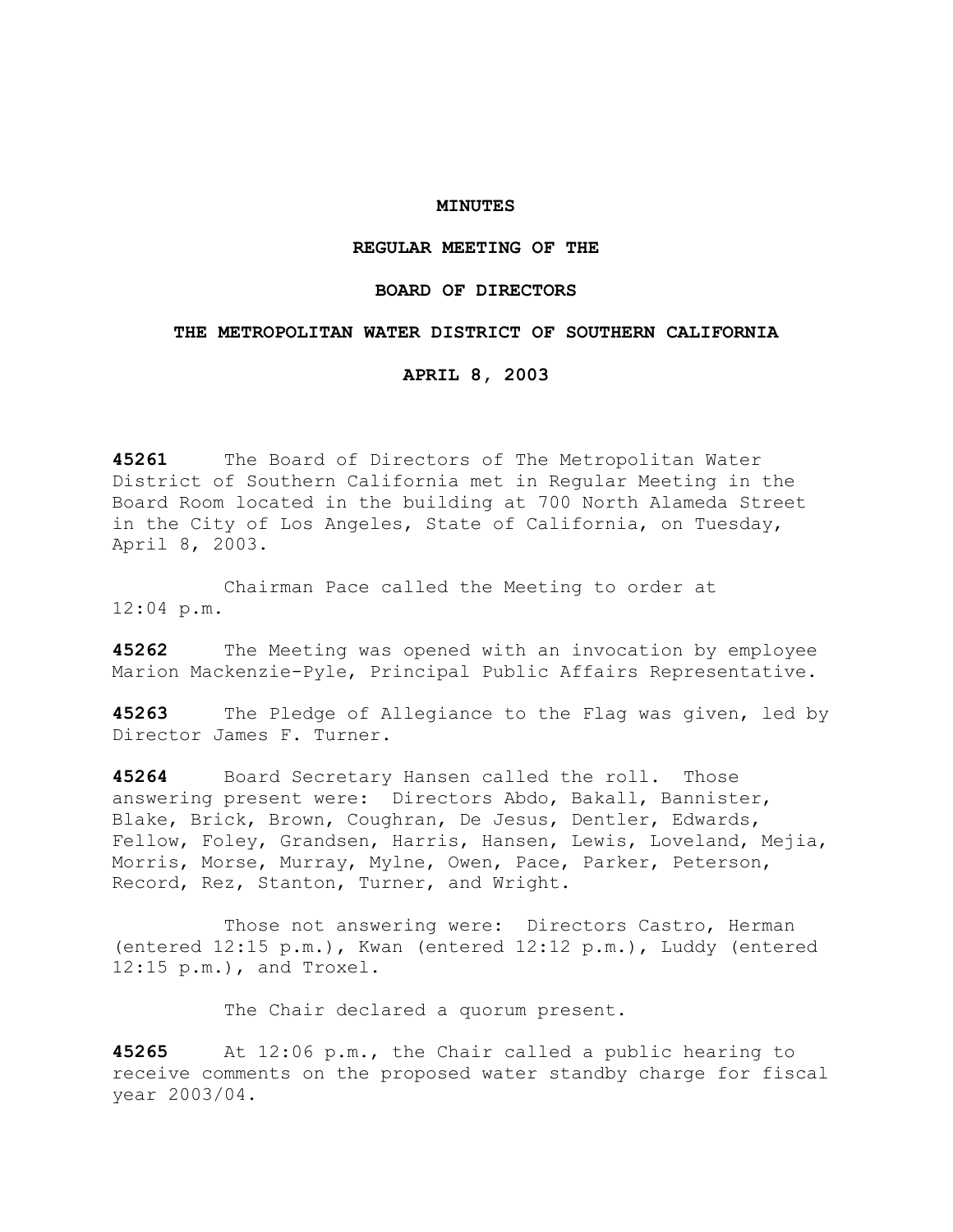## **MINUTES**

# **REGULAR MEETING OF THE**

# **BOARD OF DIRECTORS**

### **THE METROPOLITAN WATER DISTRICT OF SOUTHERN CALIFORNIA**

### **APRIL 8, 2003**

**45261** The Board of Directors of The Metropolitan Water District of Southern California met in Regular Meeting in the Board Room located in the building at 700 North Alameda Street in the City of Los Angeles, State of California, on Tuesday, April 8, 2003.

 Chairman Pace called the Meeting to order at 12:04 p.m.

**45262** The Meeting was opened with an invocation by employee Marion Mackenzie-Pyle, Principal Public Affairs Representative.

**45263** The Pledge of Allegiance to the Flag was given, led by Director James F. Turner.

**45264** Board Secretary Hansen called the roll. Those answering present were: Directors Abdo, Bakall, Bannister, Blake, Brick, Brown, Coughran, De Jesus, Dentler, Edwards, Fellow, Foley, Grandsen, Harris, Hansen, Lewis, Loveland, Mejia, Morris, Morse, Murray, Mylne, Owen, Pace, Parker, Peterson, Record, Rez, Stanton, Turner, and Wright.

 Those not answering were: Directors Castro, Herman (entered 12:15 p.m.), Kwan (entered 12:12 p.m.), Luddy (entered 12:15 p.m.), and Troxel.

The Chair declared a quorum present.

**45265** At 12:06 p.m., the Chair called a public hearing to receive comments on the proposed water standby charge for fiscal year 2003/04.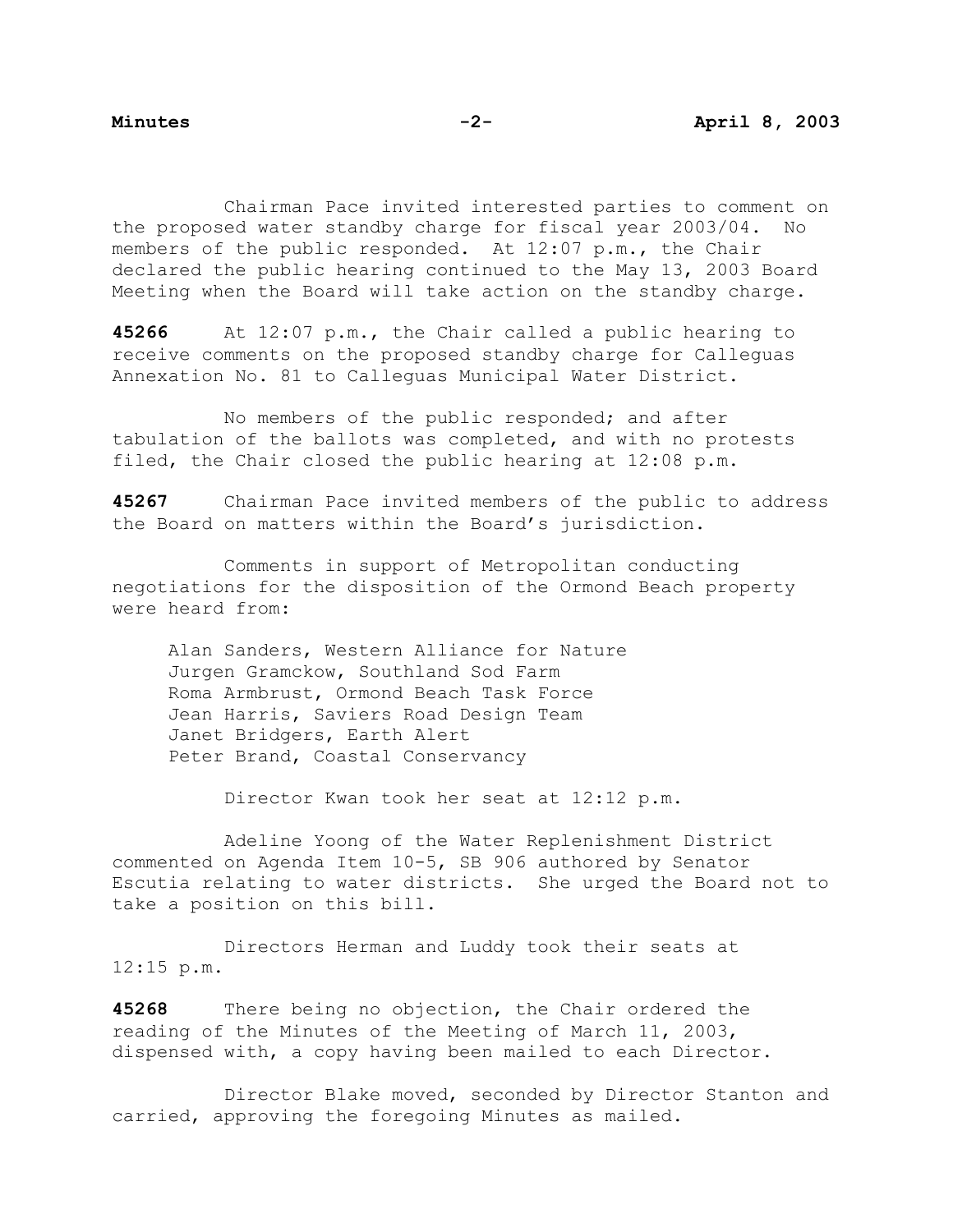Chairman Pace invited interested parties to comment on the proposed water standby charge for fiscal year 2003/04. No members of the public responded. At 12:07 p.m., the Chair declared the public hearing continued to the May 13, 2003 Board Meeting when the Board will take action on the standby charge.

**45266** At 12:07 p.m., the Chair called a public hearing to receive comments on the proposed standby charge for Calleguas Annexation No. 81 to Calleguas Municipal Water District.

 No members of the public responded; and after tabulation of the ballots was completed, and with no protests filed, the Chair closed the public hearing at 12:08 p.m.

**45267** Chairman Pace invited members of the public to address the Board on matters within the Board's jurisdiction.

 Comments in support of Metropolitan conducting negotiations for the disposition of the Ormond Beach property were heard from:

Alan Sanders, Western Alliance for Nature Jurgen Gramckow, Southland Sod Farm Roma Armbrust, Ormond Beach Task Force Jean Harris, Saviers Road Design Team Janet Bridgers, Earth Alert Peter Brand, Coastal Conservancy

Director Kwan took her seat at 12:12 p.m.

 Adeline Yoong of the Water Replenishment District commented on Agenda Item 10-5, SB 906 authored by Senator Escutia relating to water districts. She urged the Board not to take a position on this bill.

 Directors Herman and Luddy took their seats at 12:15 p.m.

**45268** There being no objection, the Chair ordered the reading of the Minutes of the Meeting of March 11, 2003, dispensed with, a copy having been mailed to each Director.

 Director Blake moved, seconded by Director Stanton and carried, approving the foregoing Minutes as mailed.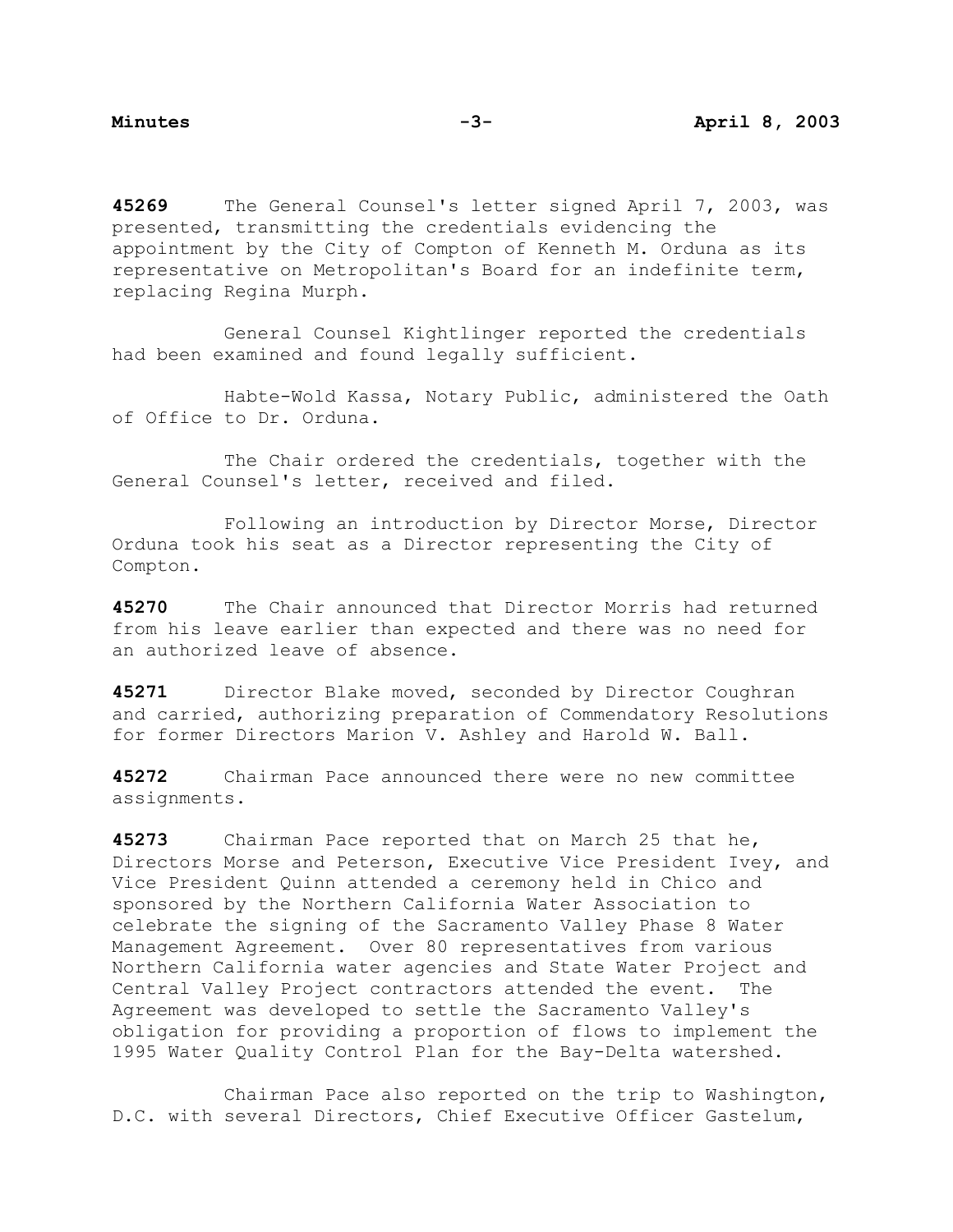**45269** The General Counsel's letter signed April 7, 2003, was presented, transmitting the credentials evidencing the appointment by the City of Compton of Kenneth M. Orduna as its representative on Metropolitan's Board for an indefinite term, replacing Regina Murph.

 General Counsel Kightlinger reported the credentials had been examined and found legally sufficient.

 Habte-Wold Kassa, Notary Public, administered the Oath of Office to Dr. Orduna.

 The Chair ordered the credentials, together with the General Counsel's letter, received and filed.

 Following an introduction by Director Morse, Director Orduna took his seat as a Director representing the City of Compton.

**45270** The Chair announced that Director Morris had returned from his leave earlier than expected and there was no need for an authorized leave of absence.

**45271** Director Blake moved, seconded by Director Coughran and carried, authorizing preparation of Commendatory Resolutions for former Directors Marion V. Ashley and Harold W. Ball.

**45272** Chairman Pace announced there were no new committee assignments.

**45273** Chairman Pace reported that on March 25 that he, Directors Morse and Peterson, Executive Vice President Ivey, and Vice President Quinn attended a ceremony held in Chico and sponsored by the Northern California Water Association to celebrate the signing of the Sacramento Valley Phase 8 Water Management Agreement. Over 80 representatives from various Northern California water agencies and State Water Project and Central Valley Project contractors attended the event. The Agreement was developed to settle the Sacramento Valley's obligation for providing a proportion of flows to implement the 1995 Water Quality Control Plan for the Bay-Delta watershed.

 Chairman Pace also reported on the trip to Washington, D.C. with several Directors, Chief Executive Officer Gastelum,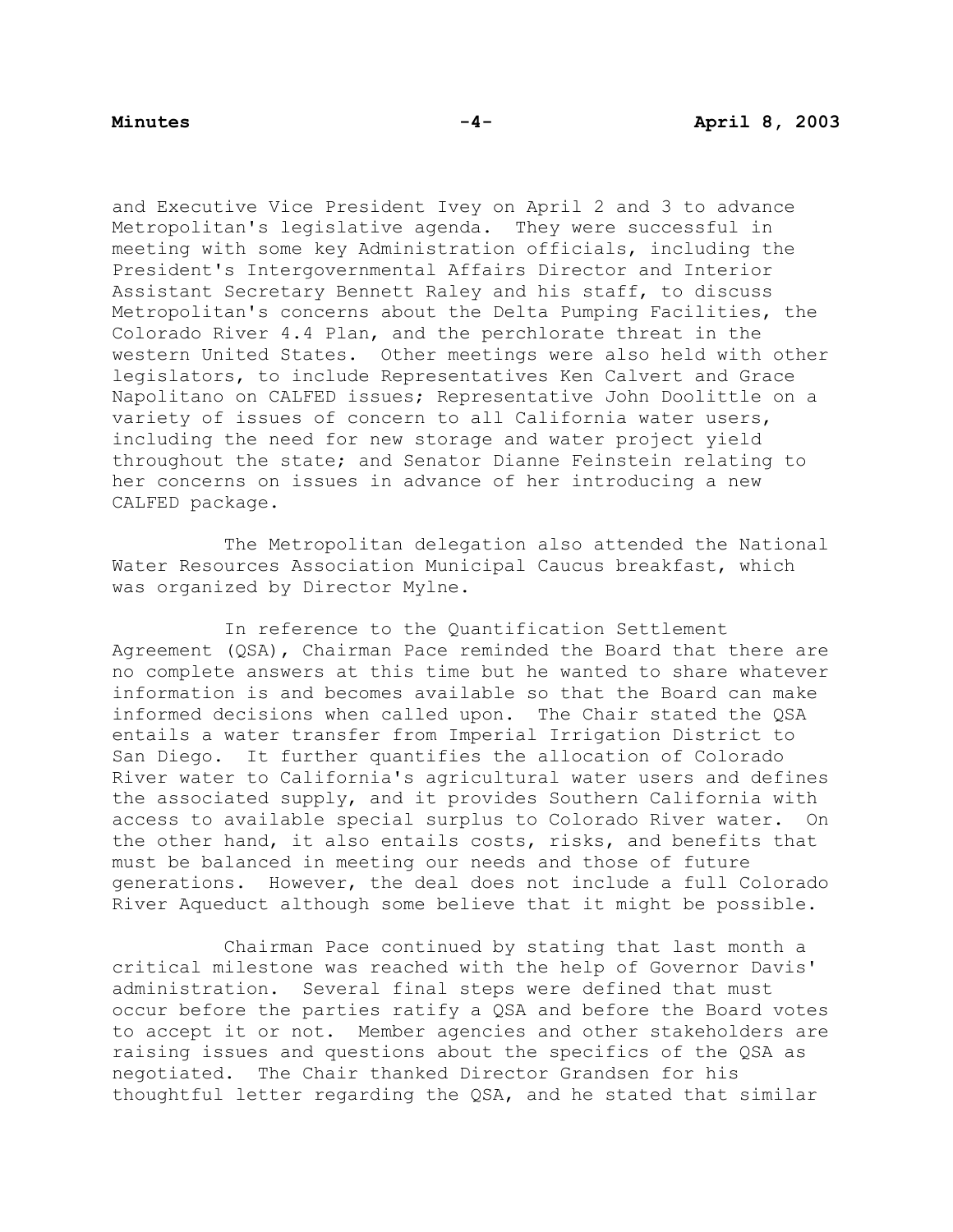and Executive Vice President Ivey on April 2 and 3 to advance Metropolitan's legislative agenda. They were successful in meeting with some key Administration officials, including the President's Intergovernmental Affairs Director and Interior Assistant Secretary Bennett Raley and his staff, to discuss Metropolitan's concerns about the Delta Pumping Facilities, the Colorado River 4.4 Plan, and the perchlorate threat in the western United States. Other meetings were also held with other legislators, to include Representatives Ken Calvert and Grace Napolitano on CALFED issues; Representative John Doolittle on a variety of issues of concern to all California water users, including the need for new storage and water project yield throughout the state; and Senator Dianne Feinstein relating to her concerns on issues in advance of her introducing a new CALFED package.

 The Metropolitan delegation also attended the National Water Resources Association Municipal Caucus breakfast, which was organized by Director Mylne.

 In reference to the Quantification Settlement Agreement (QSA), Chairman Pace reminded the Board that there are no complete answers at this time but he wanted to share whatever information is and becomes available so that the Board can make informed decisions when called upon. The Chair stated the QSA entails a water transfer from Imperial Irrigation District to San Diego. It further quantifies the allocation of Colorado River water to California's agricultural water users and defines the associated supply, and it provides Southern California with access to available special surplus to Colorado River water. On the other hand, it also entails costs, risks, and benefits that must be balanced in meeting our needs and those of future generations. However, the deal does not include a full Colorado River Aqueduct although some believe that it might be possible.

 Chairman Pace continued by stating that last month a critical milestone was reached with the help of Governor Davis' administration. Several final steps were defined that must occur before the parties ratify a QSA and before the Board votes to accept it or not. Member agencies and other stakeholders are raising issues and questions about the specifics of the QSA as negotiated. The Chair thanked Director Grandsen for his thoughtful letter regarding the QSA, and he stated that similar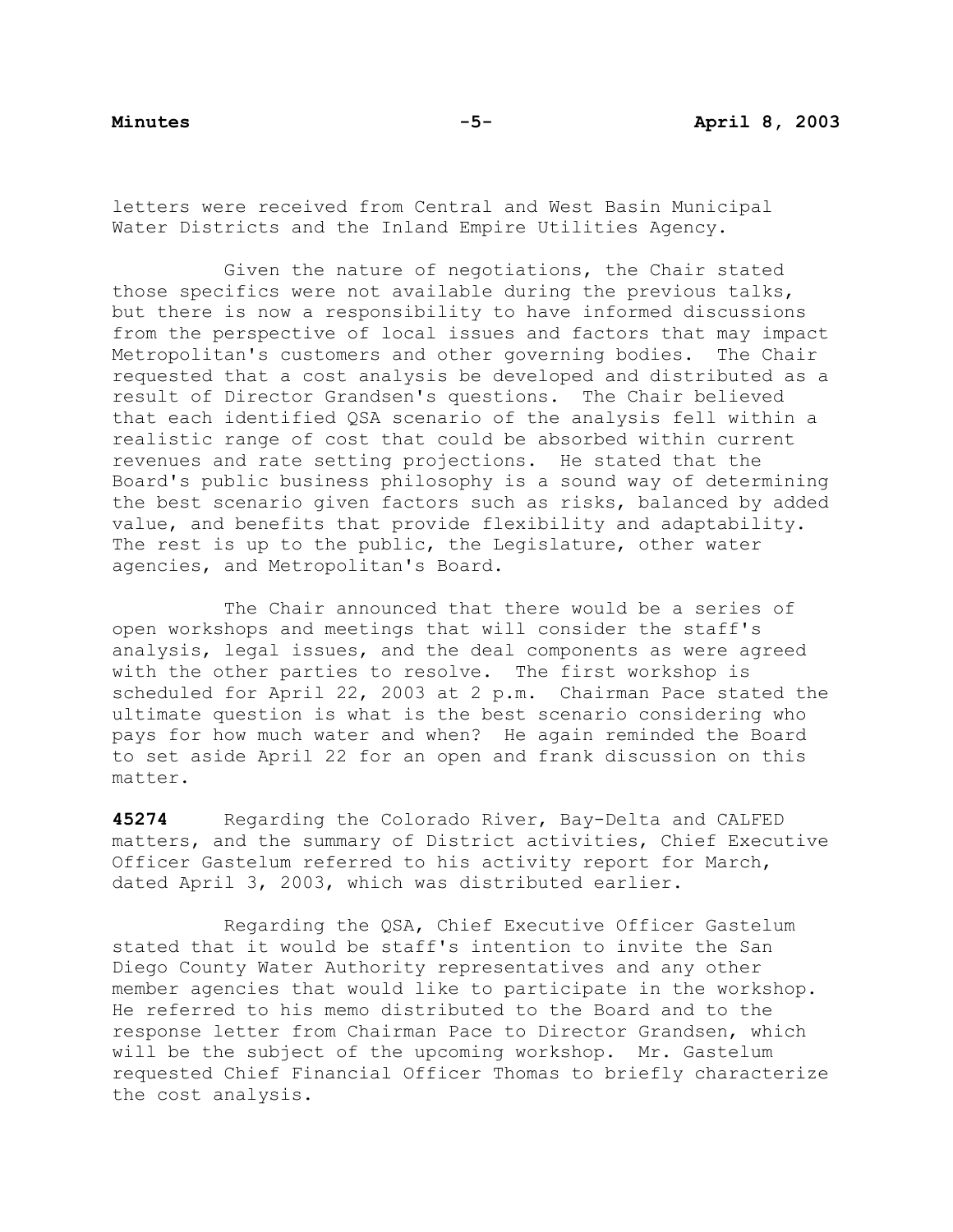letters were received from Central and West Basin Municipal Water Districts and the Inland Empire Utilities Agency.

 Given the nature of negotiations, the Chair stated those specifics were not available during the previous talks, but there is now a responsibility to have informed discussions from the perspective of local issues and factors that may impact Metropolitan's customers and other governing bodies. The Chair requested that a cost analysis be developed and distributed as a result of Director Grandsen's questions. The Chair believed that each identified QSA scenario of the analysis fell within a realistic range of cost that could be absorbed within current revenues and rate setting projections. He stated that the Board's public business philosophy is a sound way of determining the best scenario given factors such as risks, balanced by added value, and benefits that provide flexibility and adaptability. The rest is up to the public, the Legislature, other water agencies, and Metropolitan's Board.

 The Chair announced that there would be a series of open workshops and meetings that will consider the staff's analysis, legal issues, and the deal components as were agreed with the other parties to resolve. The first workshop is scheduled for April 22, 2003 at 2 p.m. Chairman Pace stated the ultimate question is what is the best scenario considering who pays for how much water and when? He again reminded the Board to set aside April 22 for an open and frank discussion on this matter.

**45274** Regarding the Colorado River, Bay-Delta and CALFED matters, and the summary of District activities, Chief Executive Officer Gastelum referred to his activity report for March, dated April 3, 2003, which was distributed earlier.

 Regarding the QSA, Chief Executive Officer Gastelum stated that it would be staff's intention to invite the San Diego County Water Authority representatives and any other member agencies that would like to participate in the workshop. He referred to his memo distributed to the Board and to the response letter from Chairman Pace to Director Grandsen, which will be the subject of the upcoming workshop. Mr. Gastelum requested Chief Financial Officer Thomas to briefly characterize the cost analysis.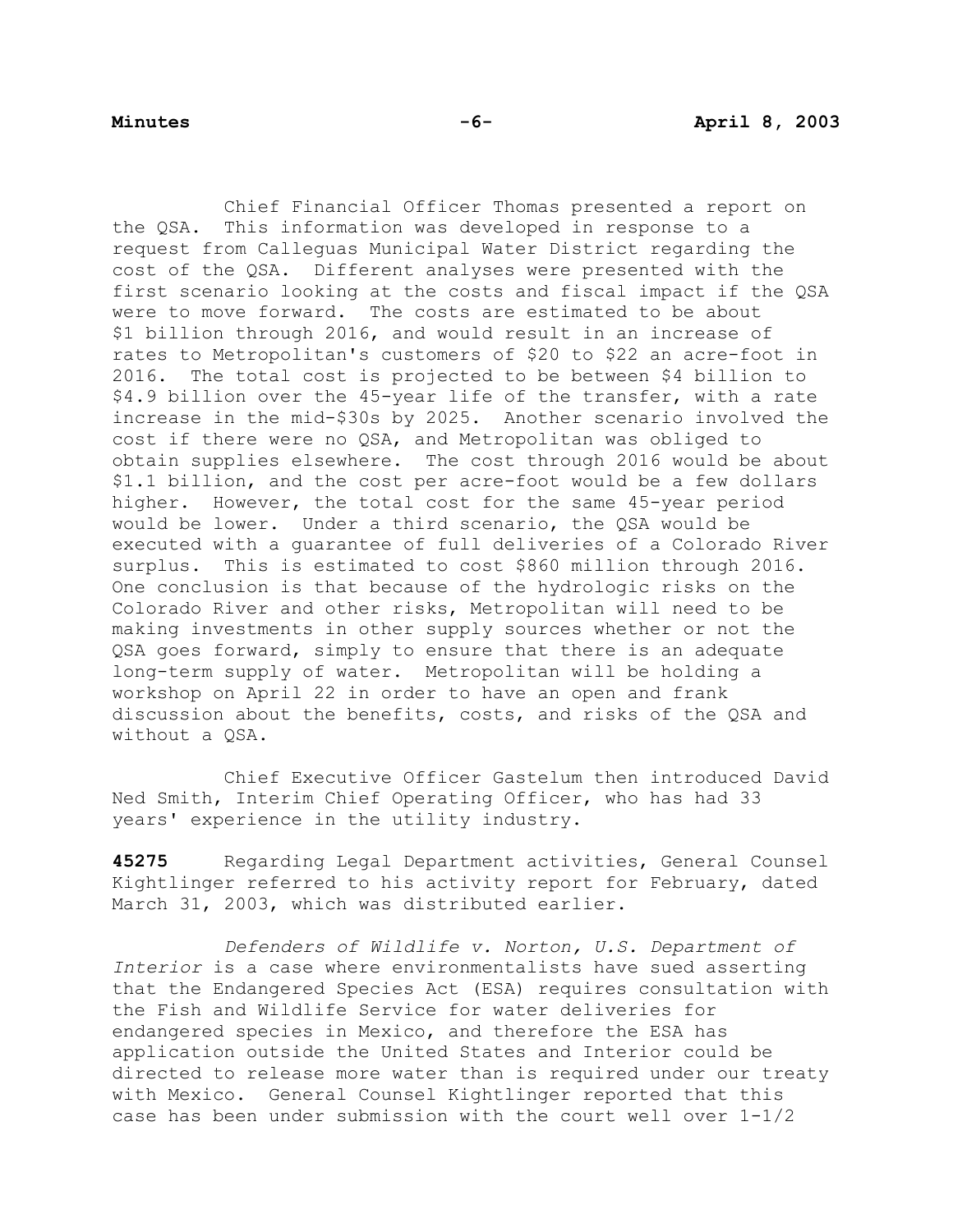Chief Financial Officer Thomas presented a report on the QSA. This information was developed in response to a request from Calleguas Municipal Water District regarding the cost of the QSA. Different analyses were presented with the first scenario looking at the costs and fiscal impact if the QSA were to move forward. The costs are estimated to be about \$1 billion through 2016, and would result in an increase of rates to Metropolitan's customers of \$20 to \$22 an acre-foot in 2016. The total cost is projected to be between \$4 billion to \$4.9 billion over the 45-year life of the transfer, with a rate increase in the mid-\$30s by 2025. Another scenario involved the cost if there were no QSA, and Metropolitan was obliged to obtain supplies elsewhere. The cost through 2016 would be about \$1.1 billion, and the cost per acre-foot would be a few dollars higher. However, the total cost for the same 45-year period would be lower. Under a third scenario, the QSA would be executed with a guarantee of full deliveries of a Colorado River surplus. This is estimated to cost \$860 million through 2016. One conclusion is that because of the hydrologic risks on the Colorado River and other risks, Metropolitan will need to be making investments in other supply sources whether or not the QSA goes forward, simply to ensure that there is an adequate long-term supply of water. Metropolitan will be holding a workshop on April 22 in order to have an open and frank discussion about the benefits, costs, and risks of the QSA and without a OSA.

 Chief Executive Officer Gastelum then introduced David Ned Smith, Interim Chief Operating Officer, who has had 33 years' experience in the utility industry.

**45275** Regarding Legal Department activities, General Counsel Kightlinger referred to his activity report for February, dated March 31, 2003, which was distributed earlier.

 *Defenders of Wildlife v. Norton, U.S. Department of Interior* is a case where environmentalists have sued asserting that the Endangered Species Act (ESA) requires consultation with the Fish and Wildlife Service for water deliveries for endangered species in Mexico, and therefore the ESA has application outside the United States and Interior could be directed to release more water than is required under our treaty with Mexico. General Counsel Kightlinger reported that this case has been under submission with the court well over 1-1/2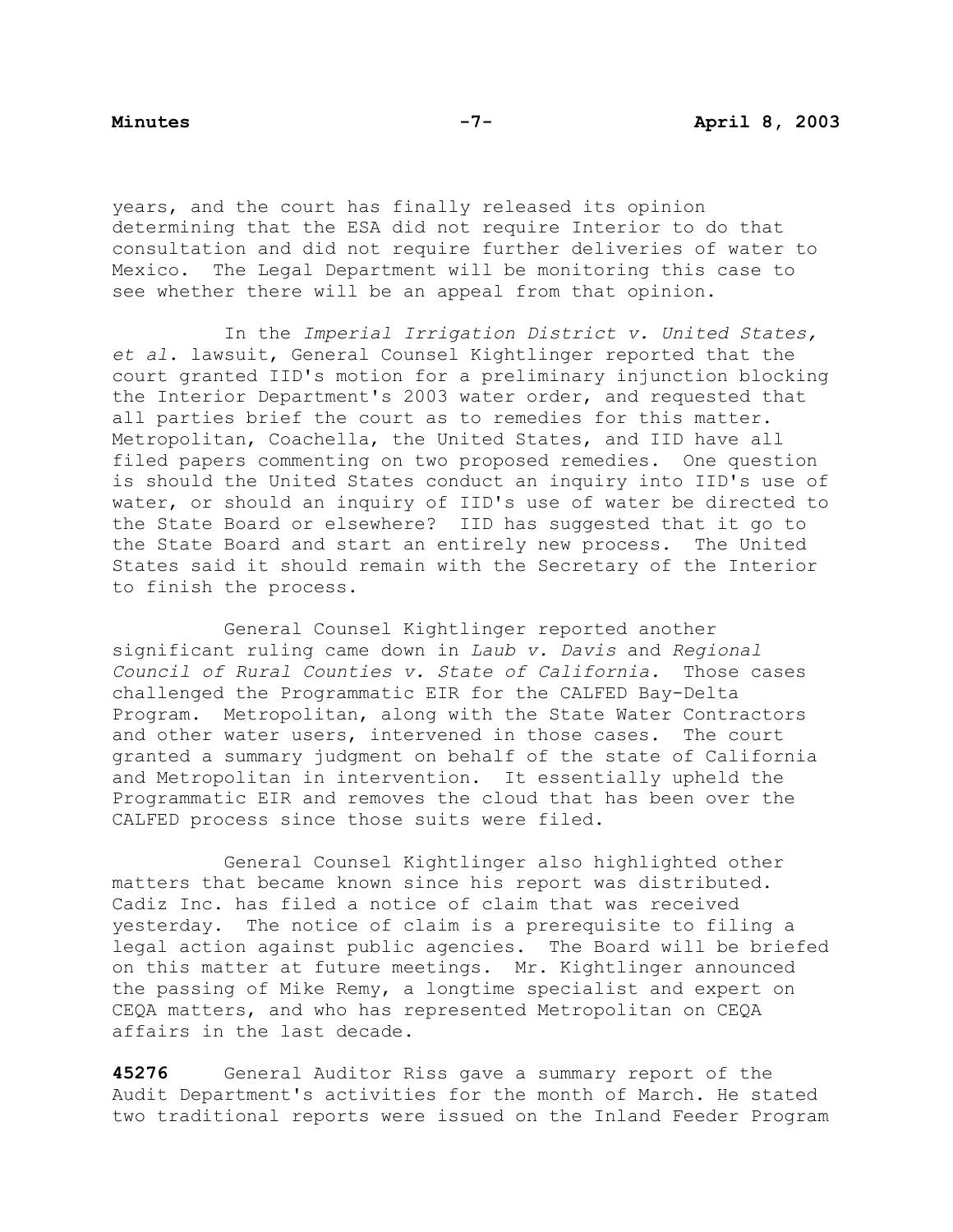years, and the court has finally released its opinion determining that the ESA did not require Interior to do that consultation and did not require further deliveries of water to Mexico. The Legal Department will be monitoring this case to see whether there will be an appeal from that opinion.

 In the *Imperial Irrigation District v. United States, et al*. lawsuit, General Counsel Kightlinger reported that the court granted IID's motion for a preliminary injunction blocking the Interior Department's 2003 water order, and requested that all parties brief the court as to remedies for this matter. Metropolitan, Coachella, the United States, and IID have all filed papers commenting on two proposed remedies. One question is should the United States conduct an inquiry into IID's use of water, or should an inquiry of IID's use of water be directed to the State Board or elsewhere? IID has suggested that it go to the State Board and start an entirely new process. The United States said it should remain with the Secretary of the Interior to finish the process.

 General Counsel Kightlinger reported another significant ruling came down in *Laub v. Davis* and *Regional Council of Rural Counties v. State of California.* Those cases challenged the Programmatic EIR for the CALFED Bay-Delta Program. Metropolitan, along with the State Water Contractors and other water users, intervened in those cases. The court granted a summary judgment on behalf of the state of California and Metropolitan in intervention. It essentially upheld the Programmatic EIR and removes the cloud that has been over the CALFED process since those suits were filed.

 General Counsel Kightlinger also highlighted other matters that became known since his report was distributed. Cadiz Inc. has filed a notice of claim that was received yesterday. The notice of claim is a prerequisite to filing a legal action against public agencies. The Board will be briefed on this matter at future meetings. Mr. Kightlinger announced the passing of Mike Remy, a longtime specialist and expert on CEQA matters, and who has represented Metropolitan on CEQA affairs in the last decade.

**45276** General Auditor Riss gave a summary report of the Audit Department's activities for the month of March. He stated two traditional reports were issued on the Inland Feeder Program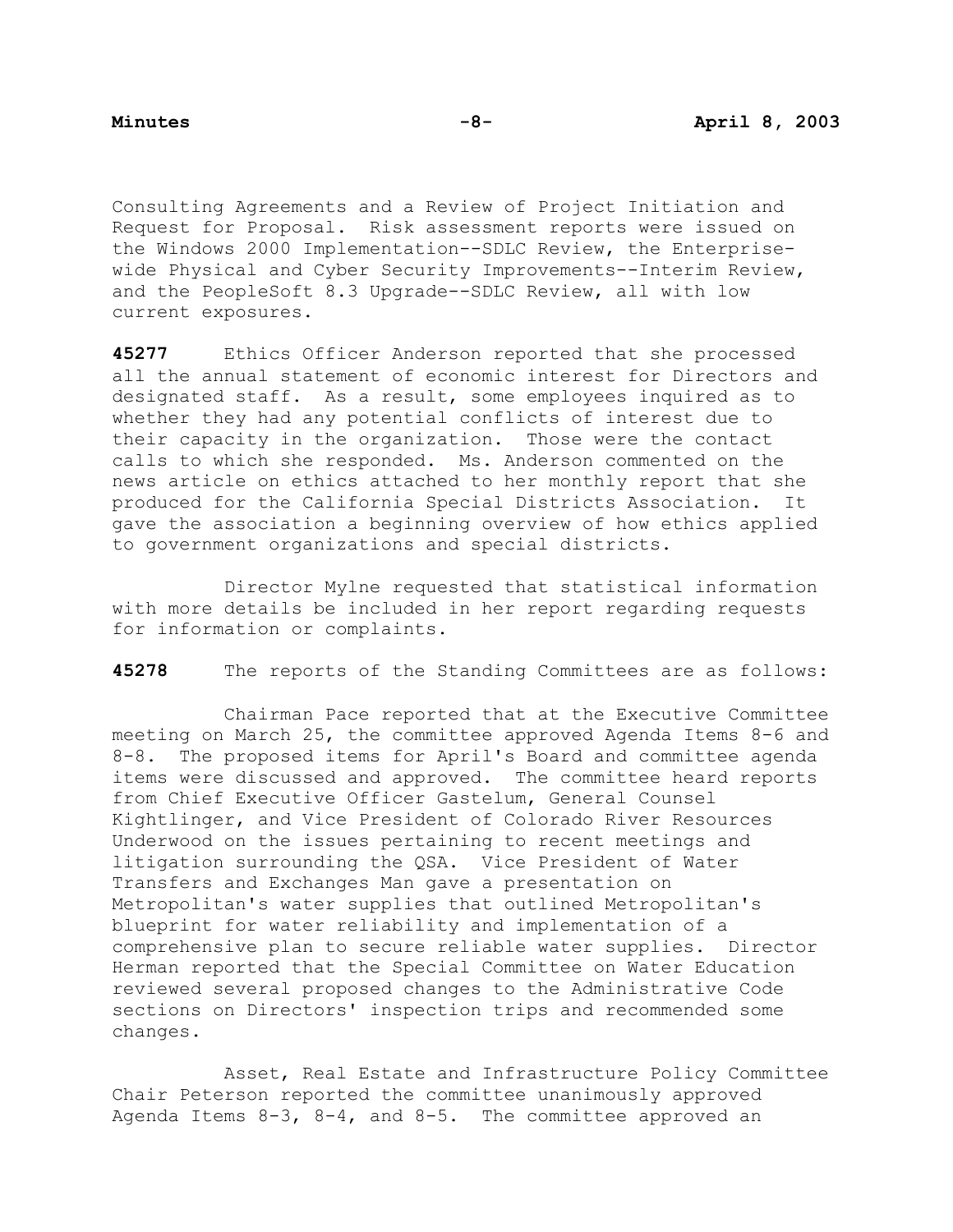Consulting Agreements and a Review of Project Initiation and Request for Proposal. Risk assessment reports were issued on the Windows 2000 Implementation--SDLC Review, the Enterprisewide Physical and Cyber Security Improvements--Interim Review, and the PeopleSoft 8.3 Upgrade--SDLC Review, all with low current exposures.

**45277** Ethics Officer Anderson reported that she processed all the annual statement of economic interest for Directors and designated staff. As a result, some employees inquired as to whether they had any potential conflicts of interest due to their capacity in the organization. Those were the contact calls to which she responded. Ms. Anderson commented on the news article on ethics attached to her monthly report that she produced for the California Special Districts Association. It gave the association a beginning overview of how ethics applied to government organizations and special districts.

 Director Mylne requested that statistical information with more details be included in her report regarding requests for information or complaints.

**45278** The reports of the Standing Committees are as follows:

Chairman Pace reported that at the Executive Committee meeting on March 25, the committee approved Agenda Items 8-6 and 8-8. The proposed items for April's Board and committee agenda items were discussed and approved. The committee heard reports from Chief Executive Officer Gastelum, General Counsel Kightlinger, and Vice President of Colorado River Resources Underwood on the issues pertaining to recent meetings and litigation surrounding the QSA. Vice President of Water Transfers and Exchanges Man gave a presentation on Metropolitan's water supplies that outlined Metropolitan's blueprint for water reliability and implementation of a comprehensive plan to secure reliable water supplies. Director Herman reported that the Special Committee on Water Education reviewed several proposed changes to the Administrative Code sections on Directors' inspection trips and recommended some changes.

 Asset, Real Estate and Infrastructure Policy Committee Chair Peterson reported the committee unanimously approved Agenda Items 8-3, 8-4, and 8-5. The committee approved an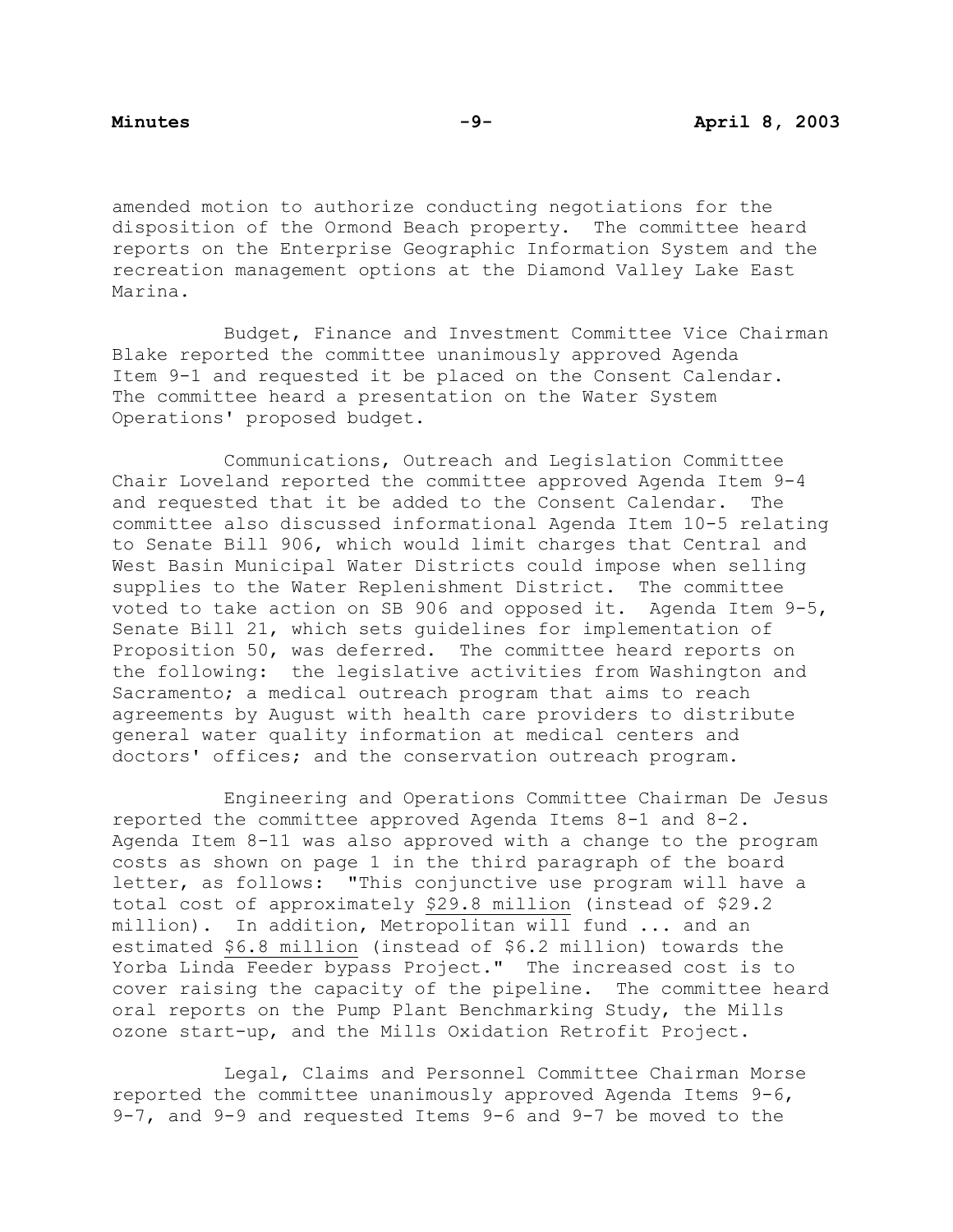amended motion to authorize conducting negotiations for the disposition of the Ormond Beach property. The committee heard reports on the Enterprise Geographic Information System and the recreation management options at the Diamond Valley Lake East Marina.

 Budget, Finance and Investment Committee Vice Chairman Blake reported the committee unanimously approved Agenda Item 9-1 and requested it be placed on the Consent Calendar. The committee heard a presentation on the Water System Operations' proposed budget.

 Communications, Outreach and Legislation Committee Chair Loveland reported the committee approved Agenda Item 9-4 and requested that it be added to the Consent Calendar. The committee also discussed informational Agenda Item 10-5 relating to Senate Bill 906, which would limit charges that Central and West Basin Municipal Water Districts could impose when selling supplies to the Water Replenishment District. The committee voted to take action on SB 906 and opposed it. Agenda Item 9-5, Senate Bill 21, which sets guidelines for implementation of Proposition 50, was deferred. The committee heard reports on the following: the legislative activities from Washington and Sacramento; a medical outreach program that aims to reach agreements by August with health care providers to distribute general water quality information at medical centers and doctors' offices; and the conservation outreach program.

 Engineering and Operations Committee Chairman De Jesus reported the committee approved Agenda Items 8-1 and 8-2. Agenda Item 8-11 was also approved with a change to the program costs as shown on page 1 in the third paragraph of the board letter, as follows: "This conjunctive use program will have a total cost of approximately \$29.8 million (instead of \$29.2 million). In addition, Metropolitan will fund ... and an estimated \$6.8 million (instead of \$6.2 million) towards the Yorba Linda Feeder bypass Project." The increased cost is to cover raising the capacity of the pipeline. The committee heard oral reports on the Pump Plant Benchmarking Study, the Mills ozone start-up, and the Mills Oxidation Retrofit Project.

 Legal, Claims and Personnel Committee Chairman Morse reported the committee unanimously approved Agenda Items 9-6, 9-7, and 9-9 and requested Items 9-6 and 9-7 be moved to the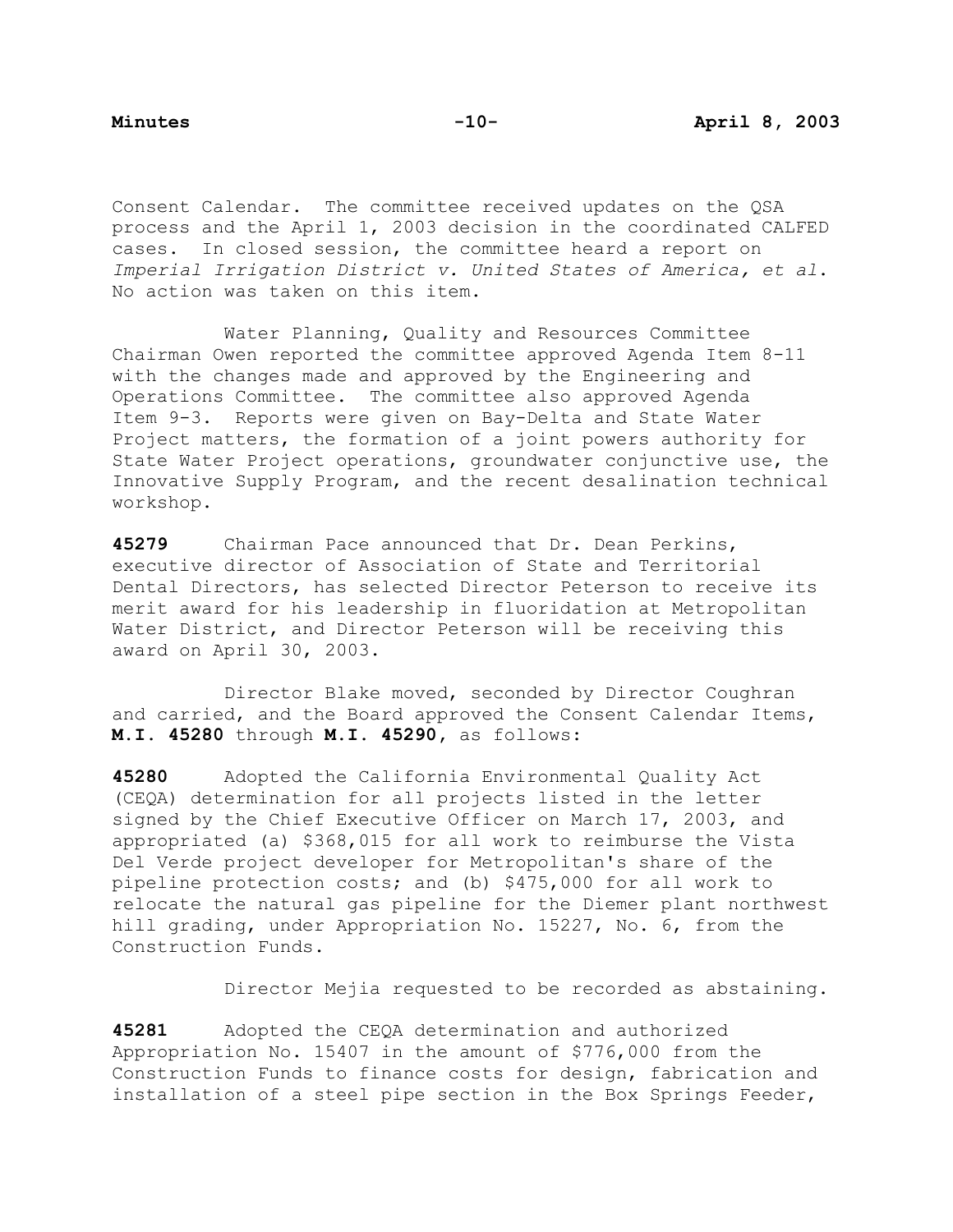Consent Calendar. The committee received updates on the QSA process and the April 1, 2003 decision in the coordinated CALFED cases. In closed session, the committee heard a report on *Imperial Irrigation District v. United States of America, et al*. No action was taken on this item.

 Water Planning, Quality and Resources Committee Chairman Owen reported the committee approved Agenda Item 8-11 with the changes made and approved by the Engineering and Operations Committee. The committee also approved Agenda Item 9-3. Reports were given on Bay-Delta and State Water Project matters, the formation of a joint powers authority for State Water Project operations, groundwater conjunctive use, the Innovative Supply Program, and the recent desalination technical workshop.

**45279** Chairman Pace announced that Dr. Dean Perkins, executive director of Association of State and Territorial Dental Directors, has selected Director Peterson to receive its merit award for his leadership in fluoridation at Metropolitan Water District, and Director Peterson will be receiving this award on April 30, 2003.

 Director Blake moved, seconded by Director Coughran and carried, and the Board approved the Consent Calendar Items, **M.I. 45280** through **M.I. 45290,** as follows:

**45280** Adopted the California Environmental Quality Act (CEQA) determination for all projects listed in the letter signed by the Chief Executive Officer on March 17, 2003, and appropriated (a) \$368,015 for all work to reimburse the Vista Del Verde project developer for Metropolitan's share of the pipeline protection costs; and (b) \$475,000 for all work to relocate the natural gas pipeline for the Diemer plant northwest hill grading, under Appropriation No. 15227, No. 6, from the Construction Funds.

Director Mejia requested to be recorded as abstaining.

**45281** Adopted the CEQA determination and authorized Appropriation No. 15407 in the amount of \$776,000 from the Construction Funds to finance costs for design, fabrication and installation of a steel pipe section in the Box Springs Feeder,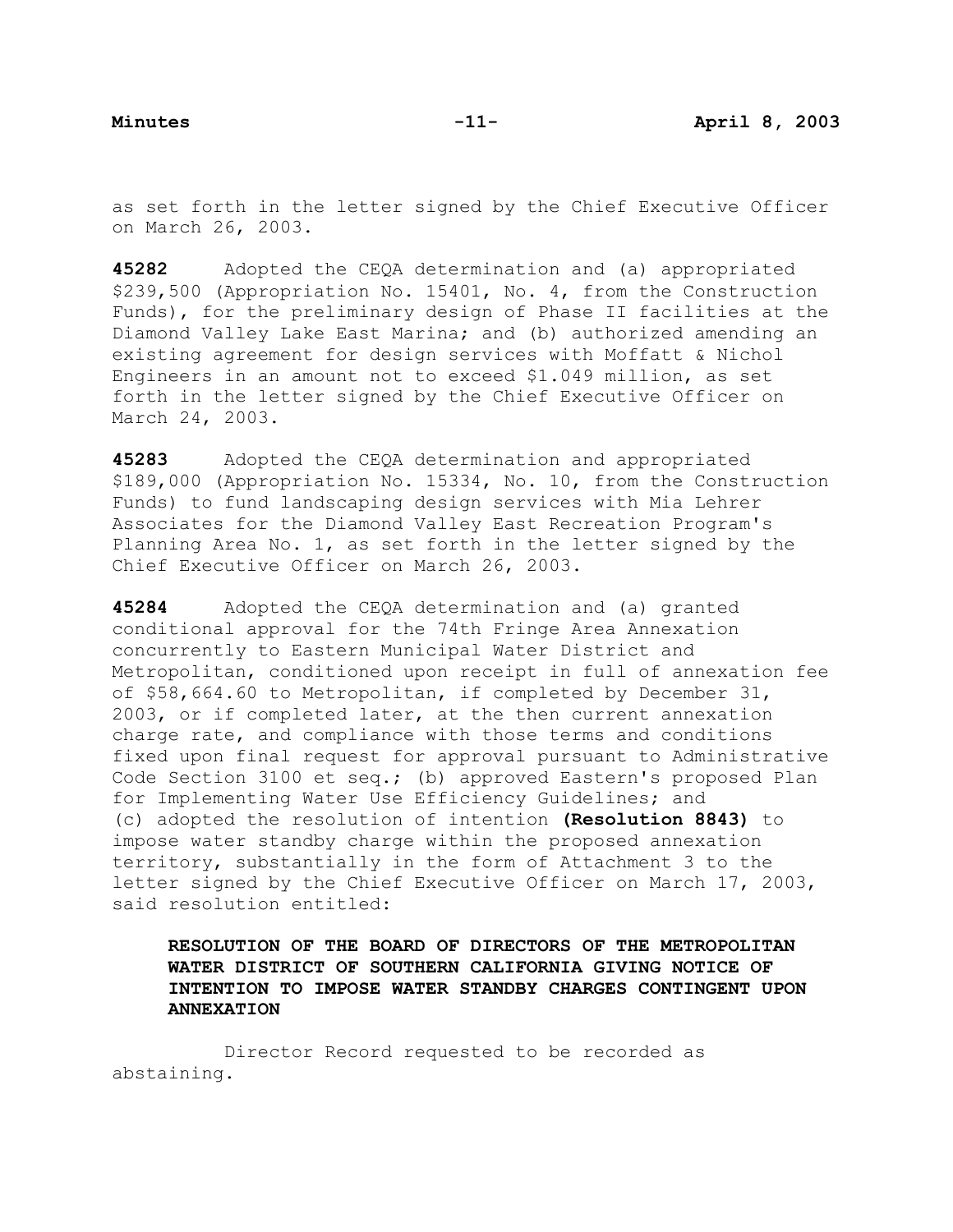as set forth in the letter signed by the Chief Executive Officer on March 26, 2003.

**45282** Adopted the CEQA determination and (a) appropriated \$239,500 (Appropriation No. 15401, No. 4, from the Construction Funds), for the preliminary design of Phase II facilities at the Diamond Valley Lake East Marina; and (b) authorized amending an existing agreement for design services with Moffatt & Nichol Engineers in an amount not to exceed \$1.049 million, as set forth in the letter signed by the Chief Executive Officer on March 24, 2003.

**45283** Adopted the CEQA determination and appropriated \$189,000 (Appropriation No. 15334, No. 10, from the Construction Funds) to fund landscaping design services with Mia Lehrer Associates for the Diamond Valley East Recreation Program's Planning Area No. 1, as set forth in the letter signed by the Chief Executive Officer on March 26, 2003.

**45284** Adopted the CEQA determination and (a) granted conditional approval for the 74th Fringe Area Annexation concurrently to Eastern Municipal Water District and Metropolitan, conditioned upon receipt in full of annexation fee of \$58,664.60 to Metropolitan, if completed by December 31, 2003, or if completed later, at the then current annexation charge rate, and compliance with those terms and conditions fixed upon final request for approval pursuant to Administrative Code Section 3100 et seq.; (b) approved Eastern's proposed Plan for Implementing Water Use Efficiency Guidelines; and (c) adopted the resolution of intention **(Resolution 8843)** to impose water standby charge within the proposed annexation territory, substantially in the form of Attachment 3 to the letter signed by the Chief Executive Officer on March 17, 2003, said resolution entitled:

**RESOLUTION OF THE BOARD OF DIRECTORS OF THE METROPOLITAN WATER DISTRICT OF SOUTHERN CALIFORNIA GIVING NOTICE OF INTENTION TO IMPOSE WATER STANDBY CHARGES CONTINGENT UPON ANNEXATION**

 Director Record requested to be recorded as abstaining.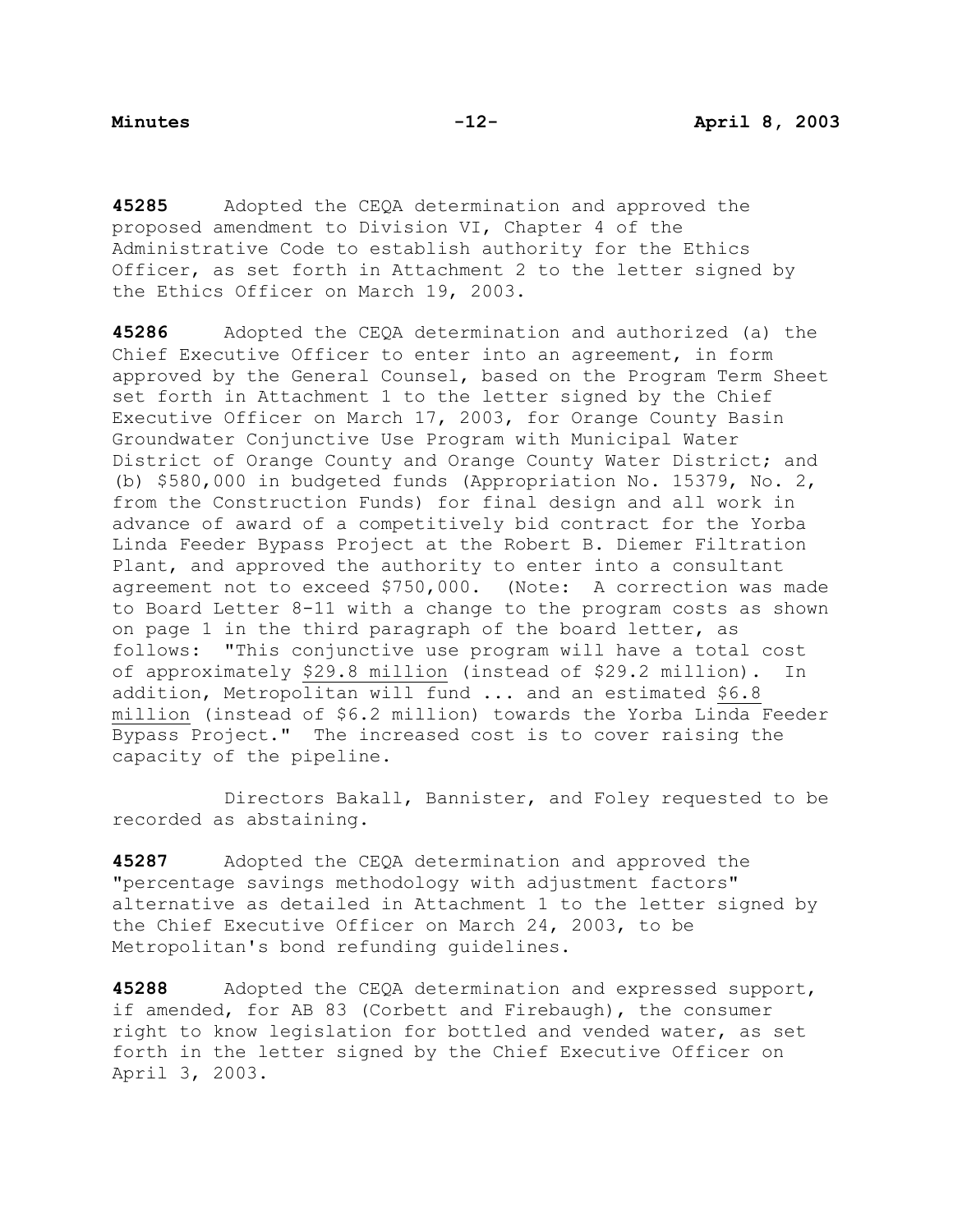**45285** Adopted the CEQA determination and approved the proposed amendment to Division VI, Chapter 4 of the Administrative Code to establish authority for the Ethics Officer, as set forth in Attachment 2 to the letter signed by the Ethics Officer on March 19, 2003.

**45286** Adopted the CEQA determination and authorized (a) the Chief Executive Officer to enter into an agreement, in form approved by the General Counsel, based on the Program Term Sheet set forth in Attachment 1 to the letter signed by the Chief Executive Officer on March 17, 2003, for Orange County Basin Groundwater Conjunctive Use Program with Municipal Water District of Orange County and Orange County Water District; and (b) \$580,000 in budgeted funds (Appropriation No. 15379, No. 2, from the Construction Funds) for final design and all work in advance of award of a competitively bid contract for the Yorba Linda Feeder Bypass Project at the Robert B. Diemer Filtration Plant, and approved the authority to enter into a consultant agreement not to exceed \$750,000. (Note: A correction was made to Board Letter 8-11 with a change to the program costs as shown on page 1 in the third paragraph of the board letter, as follows: "This conjunctive use program will have a total cost of approximately \$29.8 million (instead of \$29.2 million). In addition, Metropolitan will fund ... and an estimated \$6.8 million (instead of \$6.2 million) towards the Yorba Linda Feeder Bypass Project." The increased cost is to cover raising the capacity of the pipeline.

 Directors Bakall, Bannister, and Foley requested to be recorded as abstaining.

**45287** Adopted the CEQA determination and approved the "percentage savings methodology with adjustment factors" alternative as detailed in Attachment 1 to the letter signed by the Chief Executive Officer on March 24, 2003, to be Metropolitan's bond refunding guidelines.

**45288** Adopted the CEQA determination and expressed support, if amended, for AB 83 (Corbett and Firebaugh), the consumer right to know legislation for bottled and vended water, as set forth in the letter signed by the Chief Executive Officer on April 3, 2003.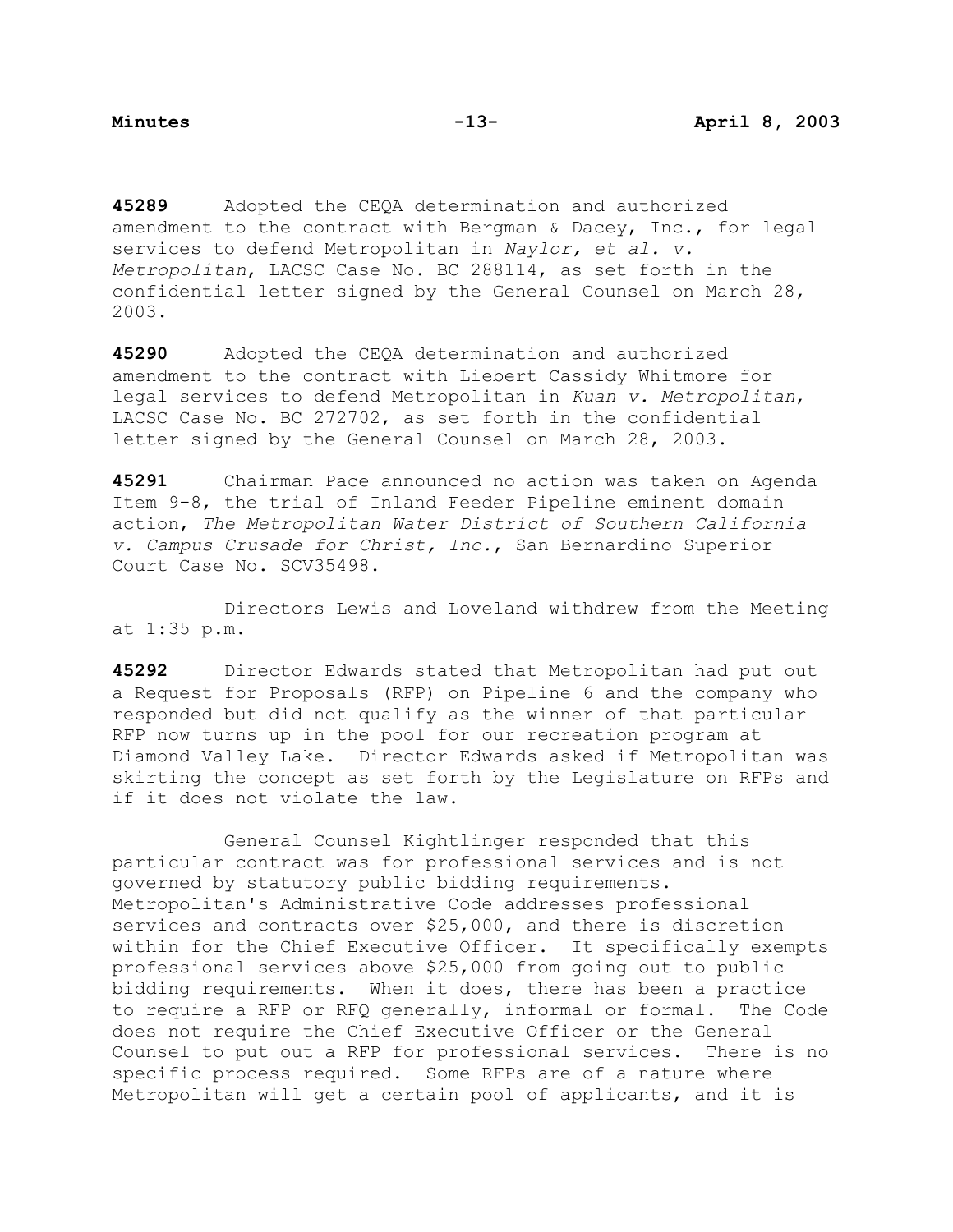**45289** Adopted the CEQA determination and authorized amendment to the contract with Bergman & Dacey, Inc., for legal services to defend Metropolitan in *Naylor, et al. v. Metropolitan*, LACSC Case No. BC 288114, as set forth in the confidential letter signed by the General Counsel on March 28, 2003.

**45290** Adopted the CEQA determination and authorized amendment to the contract with Liebert Cassidy Whitmore for legal services to defend Metropolitan in *Kuan v. Metropolitan*, LACSC Case No. BC 272702, as set forth in the confidential letter signed by the General Counsel on March 28, 2003.

**45291** Chairman Pace announced no action was taken on Agenda Item 9-8, the trial of Inland Feeder Pipeline eminent domain action, *The Metropolitan Water District of Southern California v. Campus Crusade for Christ, Inc.*, San Bernardino Superior Court Case No. SCV35498.

 Directors Lewis and Loveland withdrew from the Meeting at 1:35 p.m.

**45292** Director Edwards stated that Metropolitan had put out a Request for Proposals (RFP) on Pipeline 6 and the company who responded but did not qualify as the winner of that particular RFP now turns up in the pool for our recreation program at Diamond Valley Lake. Director Edwards asked if Metropolitan was skirting the concept as set forth by the Legislature on RFPs and if it does not violate the law.

 General Counsel Kightlinger responded that this particular contract was for professional services and is not governed by statutory public bidding requirements. Metropolitan's Administrative Code addresses professional services and contracts over \$25,000, and there is discretion within for the Chief Executive Officer. It specifically exempts professional services above \$25,000 from going out to public bidding requirements. When it does, there has been a practice to require a RFP or RFQ generally, informal or formal. The Code does not require the Chief Executive Officer or the General Counsel to put out a RFP for professional services. There is no specific process required. Some RFPs are of a nature where Metropolitan will get a certain pool of applicants, and it is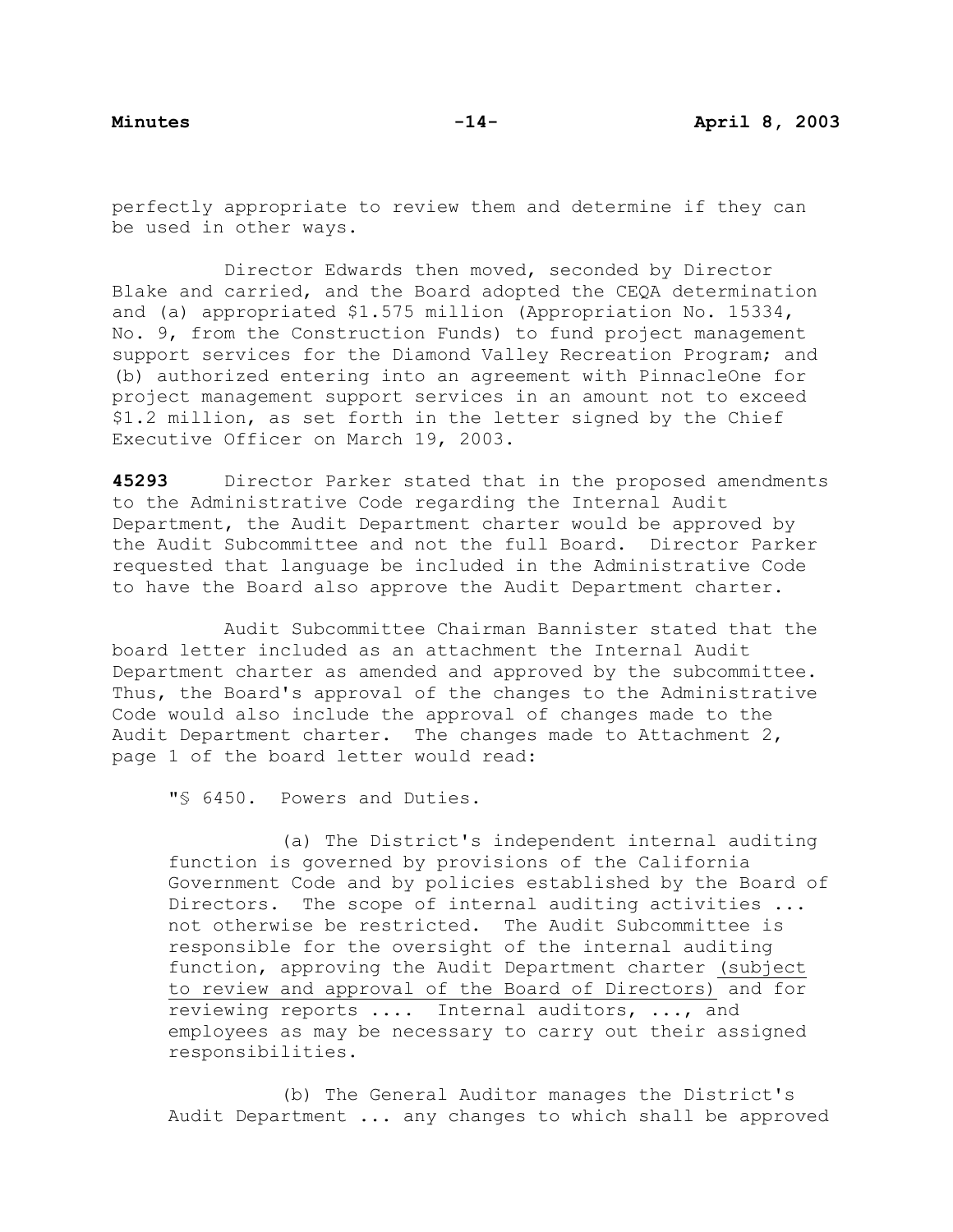perfectly appropriate to review them and determine if they can be used in other ways.

Director Edwards then moved, seconded by Director Blake and carried, and the Board adopted the CEQA determination and (a) appropriated \$1.575 million (Appropriation No. 15334, No. 9, from the Construction Funds) to fund project management support services for the Diamond Valley Recreation Program; and (b) authorized entering into an agreement with PinnacleOne for project management support services in an amount not to exceed \$1.2 million, as set forth in the letter signed by the Chief Executive Officer on March 19, 2003.

**45293** Director Parker stated that in the proposed amendments to the Administrative Code regarding the Internal Audit Department, the Audit Department charter would be approved by the Audit Subcommittee and not the full Board. Director Parker requested that language be included in the Administrative Code to have the Board also approve the Audit Department charter.

Audit Subcommittee Chairman Bannister stated that the board letter included as an attachment the Internal Audit Department charter as amended and approved by the subcommittee. Thus, the Board's approval of the changes to the Administrative Code would also include the approval of changes made to the Audit Department charter. The changes made to Attachment 2, page 1 of the board letter would read:

"§ 6450. Powers and Duties.

 (a) The District's independent internal auditing function is governed by provisions of the California Government Code and by policies established by the Board of Directors. The scope of internal auditing activities ... not otherwise be restricted. The Audit Subcommittee is responsible for the oversight of the internal auditing function, approving the Audit Department charter (subject to review and approval of the Board of Directors) and for reviewing reports .... Internal auditors, ..., and employees as may be necessary to carry out their assigned responsibilities.

 (b) The General Auditor manages the District's Audit Department ... any changes to which shall be approved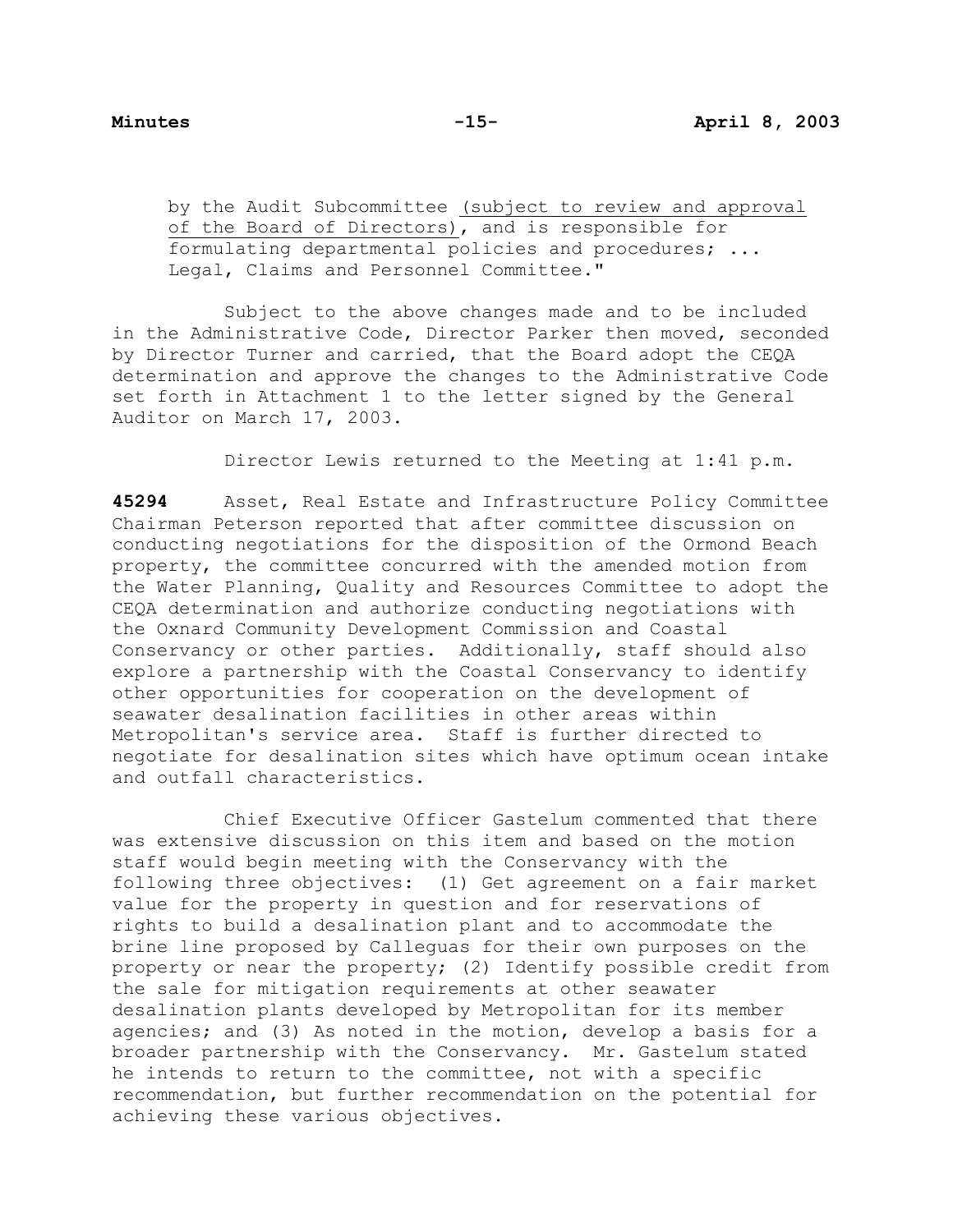by the Audit Subcommittee (subject to review and approval of the Board of Directors), and is responsible for formulating departmental policies and procedures; ... Legal, Claims and Personnel Committee."

 Subject to the above changes made and to be included in the Administrative Code, Director Parker then moved, seconded by Director Turner and carried, that the Board adopt the CEQA determination and approve the changes to the Administrative Code set forth in Attachment 1 to the letter signed by the General Auditor on March 17, 2003.

Director Lewis returned to the Meeting at 1:41 p.m.

**45294** Asset, Real Estate and Infrastructure Policy Committee Chairman Peterson reported that after committee discussion on conducting negotiations for the disposition of the Ormond Beach property, the committee concurred with the amended motion from the Water Planning, Quality and Resources Committee to adopt the CEQA determination and authorize conducting negotiations with the Oxnard Community Development Commission and Coastal Conservancy or other parties. Additionally, staff should also explore a partnership with the Coastal Conservancy to identify other opportunities for cooperation on the development of seawater desalination facilities in other areas within Metropolitan's service area. Staff is further directed to negotiate for desalination sites which have optimum ocean intake and outfall characteristics.

 Chief Executive Officer Gastelum commented that there was extensive discussion on this item and based on the motion staff would begin meeting with the Conservancy with the following three objectives: (1) Get agreement on a fair market value for the property in question and for reservations of rights to build a desalination plant and to accommodate the brine line proposed by Calleguas for their own purposes on the property or near the property; (2) Identify possible credit from the sale for mitigation requirements at other seawater desalination plants developed by Metropolitan for its member agencies; and (3) As noted in the motion, develop a basis for a broader partnership with the Conservancy. Mr. Gastelum stated he intends to return to the committee, not with a specific recommendation, but further recommendation on the potential for achieving these various objectives.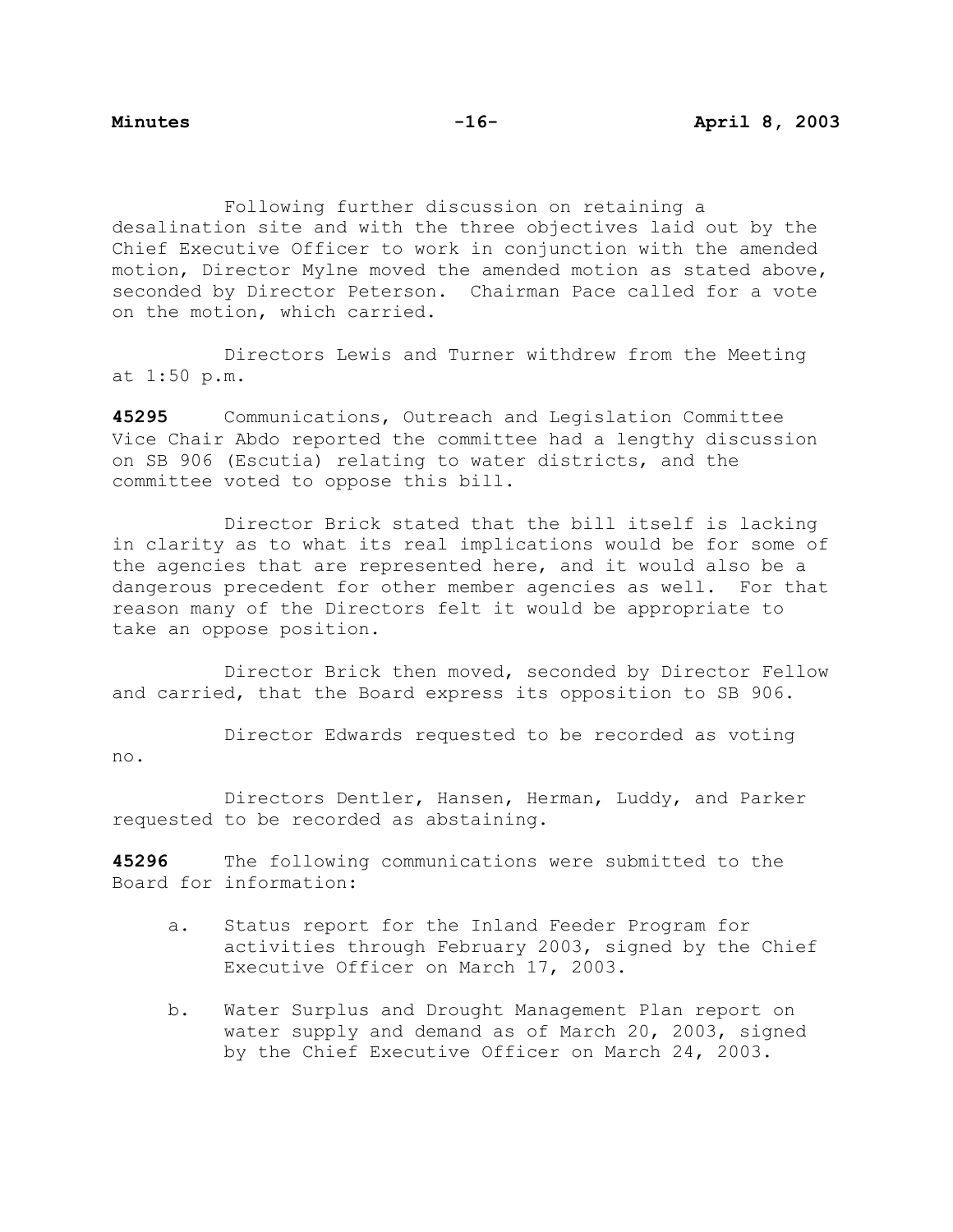Following further discussion on retaining a desalination site and with the three objectives laid out by the Chief Executive Officer to work in conjunction with the amended motion, Director Mylne moved the amended motion as stated above, seconded by Director Peterson. Chairman Pace called for a vote on the motion, which carried.

 Directors Lewis and Turner withdrew from the Meeting at 1:50 p.m.

**45295** Communications, Outreach and Legislation Committee Vice Chair Abdo reported the committee had a lengthy discussion on SB 906 (Escutia) relating to water districts, and the committee voted to oppose this bill.

 Director Brick stated that the bill itself is lacking in clarity as to what its real implications would be for some of the agencies that are represented here, and it would also be a dangerous precedent for other member agencies as well. For that reason many of the Directors felt it would be appropriate to take an oppose position.

 Director Brick then moved, seconded by Director Fellow and carried, that the Board express its opposition to SB 906.

 Director Edwards requested to be recorded as voting no.

 Directors Dentler, Hansen, Herman, Luddy, and Parker requested to be recorded as abstaining.

**45296** The following communications were submitted to the Board for information:

- a. Status report for the Inland Feeder Program for activities through February 2003, signed by the Chief Executive Officer on March 17, 2003.
- b. Water Surplus and Drought Management Plan report on water supply and demand as of March 20, 2003, signed by the Chief Executive Officer on March 24, 2003.